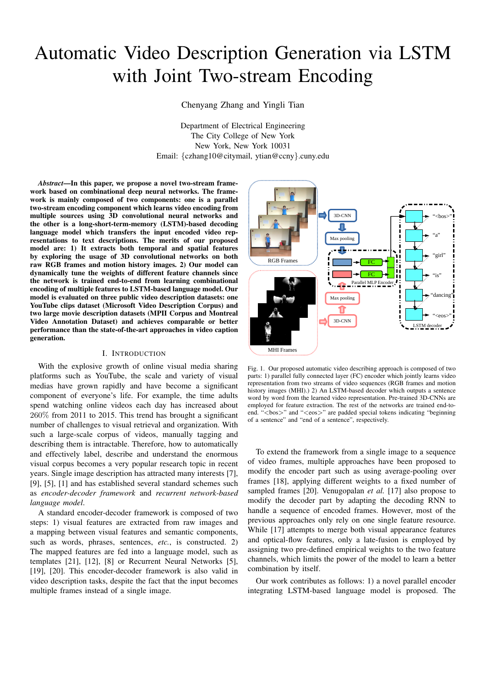# Automatic Video Description Generation via LSTM with Joint Two-stream Encoding

Chenyang Zhang and Yingli Tian

Department of Electrical Engineering The City College of New York New York, New York 10031 Email: {czhang10@citymail, ytian@ccny}.cuny.edu

*Abstract*—In this paper, we propose a novel two-stream framework based on combinational deep neural networks. The framework is mainly composed of two components: one is a parallel two-stream encoding component which learns video encoding from multiple sources using 3D convolutional neural networks and the other is a long-short-term-memory (LSTM)-based decoding language model which transfers the input encoded video representations to text descriptions. The merits of our proposed model are: 1) It extracts both temporal and spatial features by exploring the usage of 3D convolutional networks on both raw RGB frames and motion history images. 2) Our model can dynamically tune the weights of different feature channels since the network is trained end-to-end from learning combinational encoding of multiple features to LSTM-based language model. Our model is evaluated on three public video description datasets: one YouTube clips dataset (Microsoft Video Description Corpus) and two large movie description datasets (MPII Corpus and Montreal Video Annotation Dataset) and achieves comparable or better performance than the state-of-the-art approaches in video caption generation.

## I. INTRODUCTION

With the explosive growth of online visual media sharing platforms such as YouTube, the scale and variety of visual medias have grown rapidly and have become a significant component of everyone's life. For example, the time adults spend watching online videos each day has increased about 260% from 2011 to 2015. This trend has brought a significant number of challenges to visual retrieval and organization. With such a large-scale corpus of videos, manually tagging and describing them is intractable. Therefore, how to automatically and effectively label, describe and understand the enormous visual corpus becomes a very popular research topic in recent years. Single image description has attracted many interests [7], [9], [5], [1] and has established several standard schemes such as *encoder-decoder framework* and *recurrent network-based language model*.

A standard encoder-decoder framework is composed of two steps: 1) visual features are extracted from raw images and a mapping between visual features and semantic components, such as words, phrases, sentences, *etc.*, is constructed. 2) The mapped features are fed into a language model, such as templates [21], [12], [8] or Recurrent Neural Networks [5], [19], [20]. This encoder-decoder framework is also valid in video description tasks, despite the fact that the input becomes multiple frames instead of a single image.



Fig. 1. Our proposed automatic video describing approach is composed of two parts: 1) parallel fully connected layer (FC) encoder which jointly learns video representation from two streams of video sequences (RGB frames and motion history images (MHI).) 2) An LSTM-based decoder which outputs a sentence word by word from the learned video representation. Pre-trained 3D-CNNs are employed for feature extraction. The rest of the networks are trained end-toend. "<br/>bos>" and "<eos>" are padded special tokens indicating "beginning of a sentence" and "end of a sentence", respectively.

To extend the framework from a single image to a sequence of video frames, multiple approaches have been proposed to modify the encoder part such as using average-pooling over frames [18], applying different weights to a fixed number of sampled frames [20]. Venugopalan *et al.* [17] also propose to modify the decoder part by adapting the decoding RNN to handle a sequence of encoded frames. However, most of the previous approaches only rely on one single feature resource. While [17] attempts to merge both visual appearance features and optical-flow features, only a late-fusion is employed by assigning two pre-defined empirical weights to the two feature channels, which limits the power of the model to learn a better combination by itself.

Our work contributes as follows: 1) a novel parallel encoder integrating LSTM-based language model is proposed. The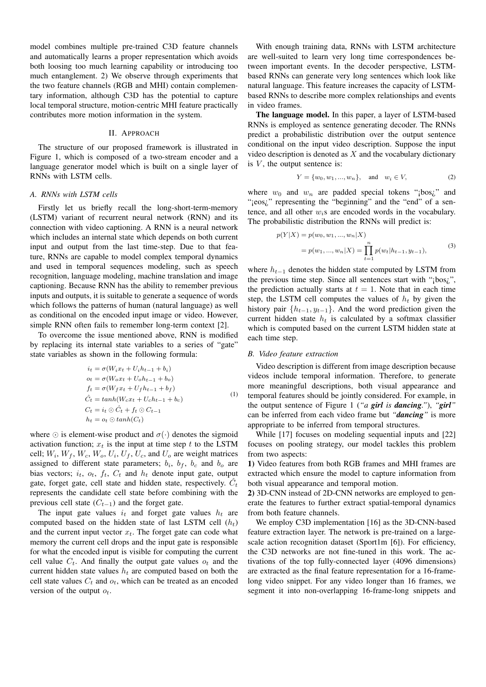model combines multiple pre-trained C3D feature channels and automatically learns a proper representation which avoids both loosing too much learning capability or introducing too much entanglement. 2) We observe through experiments that the two feature channels (RGB and MHI) contain complementary information, although C3D has the potential to capture local temporal structure, motion-centric MHI feature practically contributes more motion information in the system.

# II. APPROACH

The structure of our proposed framework is illustrated in Figure 1, which is composed of a two-stream encoder and a language generator model which is built on a single layer of RNNs with LSTM cells.

### *A. RNNs with LSTM cells*

Firstly let us briefly recall the long-short-term-memory (LSTM) variant of recurrent neural network (RNN) and its connection with video captioning. A RNN is a neural network which includes an internal state which depends on both current input and output from the last time-step. Due to that feature, RNNs are capable to model complex temporal dynamics and used in temporal sequences modeling, such as speech recognition, language modeling, machine translation and image captioning. Because RNN has the ability to remember previous inputs and outputs, it is suitable to generate a sequence of words which follows the patterns of human (natural language) as well as conditional on the encoded input image or video. However, simple RNN often fails to remember long-term context [2].

To overcome the issue mentioned above, RNN is modified by replacing its internal state variables to a series of "gate" state variables as shown in the following formula:

$$
i_t = \sigma(W_i x_t + U_i h_{t-1} + b_i)
$$
  
\n
$$
o_t = \sigma(W_0 x_t + U_0 h_{t-1} + b_0)
$$
  
\n
$$
f_t = \sigma(W_f x_t + U_f h_{t-1} + b_f)
$$
  
\n
$$
\hat{C}_t = \tanh(W_c x_t + U_c h_{t-1} + b_c)
$$
  
\n
$$
C_t = i_t \odot \hat{C}_t + f_t \odot C_{t-1}
$$
  
\n
$$
h_t = o_t \odot \tanh(C_t)
$$
\n(1)

where  $\odot$  is element-wise product and  $\sigma(\cdot)$  denotes the sigmoid activation function;  $x_t$  is the input at time step t to the LSTM cell;  $W_i$ ,  $W_f$ ,  $W_c$ ,  $W_o$ ,  $U_i$ ,  $U_f$ ,  $U_c$ , and  $U_o$  are weight matrices assigned to different state parameters;  $b_i$ ,  $b_f$ ,  $b_c$  and  $b_o$  are bias vectors;  $i_t$ ,  $o_t$ ,  $f_t$ ,  $C_t$  and  $h_t$  denote input gate, output gate, forget gate, cell state and hidden state, respectively.  $\hat{C}_t$ represents the candidate cell state before combining with the previous cell state  $(C_{t-1})$  and the forget gate.

The input gate values  $i_t$  and forget gate values  $h_t$  are computed based on the hidden state of last LSTM cell  $(h_t)$ and the current input vector  $x_t$ . The forget gate can code what memory the current cell drops and the input gate is responsible for what the encoded input is visible for computing the current cell value  $C_t$ . And finally the output gate values  $o_t$  and the current hidden state values  $h_t$  are computed based on both the cell state values  $C_t$  and  $o_t$ , which can be treated as an encoded version of the output  $o_t$ .

With enough training data, RNNs with LSTM architecture are well-suited to learn very long time correspondences between important events. In the decoder perspective, LSTMbased RNNs can generate very long sentences which look like natural language. This feature increases the capacity of LSTMbased RNNs to describe more complex relationships and events in video frames.

The language model. In this paper, a layer of LSTM-based RNNs is employed as sentence generating decoder. The RNNs predict a probabilistic distribution over the output sentence conditional on the input video description. Suppose the input video description is denoted as  $X$  and the vocabulary dictionary is  $V$ , the output sentence is:

$$
Y = \{w_0, w_1, ..., w_n\}, \text{ and } w_i \in V,
$$
 (2)

where  $w_0$  and  $w_n$  are padded special tokens ";bos;" and "jeos<sub>i</sub>" representing the "beginning" and the "end" of a sentence, and all other  $w_i$ s are encoded words in the vocabulary. The probabilistic distribution the RNNs will predict is:

$$
p(Y|X) = p(w_0, w_1, ..., w_n|X)
$$
  
=  $p(w_1, ..., w_n|X) = \prod_{t=1}^{n} p(w_t|h_{t-1}, y_{t-1}),$  (3)

where  $h_{t-1}$  denotes the hidden state computed by LSTM from the previous time step. Since all sentences start with " $ibos$ ",", the prediction actually starts at  $t = 1$ . Note that in each time step, the LSTM cell computes the values of  $h_t$  by given the history pair  $\{h_{t-1}, y_{t-1}\}$ . And the word prediction given the current hidden state  $h_t$  is calculated by a softmax classifier which is computed based on the current LSTM hidden state at each time step.

#### *B. Video feature extraction*

Video description is different from image description because videos include temporal information. Therefore, to generate more meaningful descriptions, both visual appearance and temporal features should be jointly considered. For example, in the output sentence of Figure 1 (*"a girl is dancing."*), *"girl"* can be inferred from each video frame but *"dancing"* is more appropriate to be inferred from temporal structures.

While [17] focuses on modeling sequential inputs and [22] focuses on pooling strategy, our model tackles this problem from two aspects:

1) Video features from both RGB frames and MHI frames are extracted which ensure the model to capture information from both visual appearance and temporal motion.

2) 3D-CNN instead of 2D-CNN networks are employed to generate the features to further extract spatial-temporal dynamics from both feature channels.

We employ C3D implementation [16] as the 3D-CNN-based feature extraction layer. The network is pre-trained on a largescale action recognition dataset (Sport1m [6]). For efficiency, the C3D networks are not fine-tuned in this work. The activations of the top fully-connected layer (4096 dimensions) are extracted as the final feature representation for a 16-framelong video snippet. For any video longer than 16 frames, we segment it into non-overlapping 16-frame-long snippets and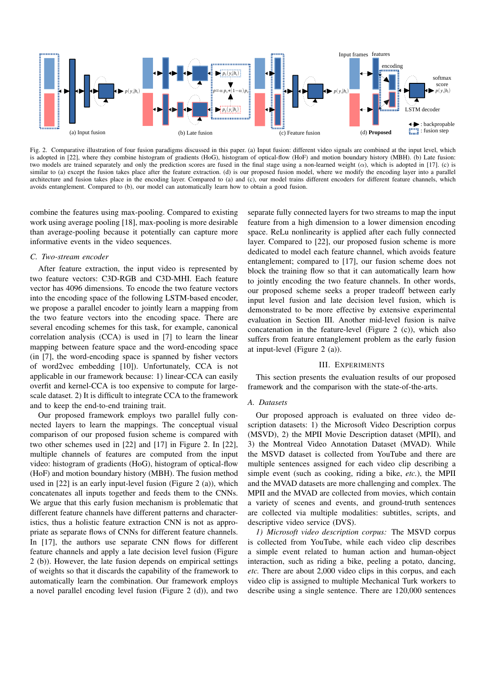

Fig. 2. Comparative illustration of four fusion paradigms discussed in this paper. (a) Input fusion: different video signals are combined at the input level, which is adopted in [22], where they combine histogram of gradients (HoG), histogram of optical-flow (HoF) and motion boundary history (MBH). (b) Late fusion: two models are trained separately and only the prediction scores are fused in the final stage using a non-learned weight  $(\alpha)$ , which is adopted in [17]. (c) is similar to (a) except the fusion takes place after the feature extraction. (d) is our proposed fusion model, where we modify the encoding layer into a parallel architecture and fusion takes place in the encoding layer. Compared to (a) and (c), our model trains different encoders for different feature channels, which avoids entanglement. Compared to (b), our model can automatically learn how to obtain a good fusion.

combine the features using max-pooling. Compared to existing work using average pooling [18], max-pooling is more desirable than average-pooling because it potentially can capture more informative events in the video sequences.

# *C. Two-stream encoder*

After feature extraction, the input video is represented by two feature vectors: C3D-RGB and C3D-MHI. Each feature vector has 4096 dimensions. To encode the two feature vectors into the encoding space of the following LSTM-based encoder, we propose a parallel encoder to jointly learn a mapping from the two feature vectors into the encoding space. There are several encoding schemes for this task, for example, canonical correlation analysis (CCA) is used in [7] to learn the linear mapping between feature space and the word-encoding space (in [7], the word-encoding space is spanned by fisher vectors of word2vec embedding [10]). Unfortunately, CCA is not applicable in our framework because: 1) linear-CCA can easily overfit and kernel-CCA is too expensive to compute for largescale dataset. 2) It is difficult to integrate CCA to the framework and to keep the end-to-end training trait.

Our proposed framework employs two parallel fully connected layers to learn the mappings. The conceptual visual comparison of our proposed fusion scheme is compared with two other schemes used in [22] and [17] in Figure 2. In [22], multiple channels of features are computed from the input video: histogram of gradients (HoG), histogram of optical-flow (HoF) and motion boundary history (MBH). The fusion method used in [22] is an early input-level fusion (Figure 2 (a)), which concatenates all inputs together and feeds them to the CNNs. We argue that this early fusion mechanism is problematic that different feature channels have different patterns and characteristics, thus a holistic feature extraction CNN is not as appropriate as separate flows of CNNs for different feature channels. In [17], the authors use separate CNN flows for different feature channels and apply a late decision level fusion (Figure 2 (b)). However, the late fusion depends on empirical settings of weights so that it discards the capability of the framework to automatically learn the combination. Our framework employs a novel parallel encoding level fusion (Figure 2 (d)), and two

separate fully connected layers for two streams to map the input feature from a high dimension to a lower dimension encoding space. ReLu nonlinearity is applied after each fully connected layer. Compared to [22], our proposed fusion scheme is more dedicated to model each feature channel, which avoids feature entanglement; compared to [17], our fusion scheme does not block the training flow so that it can automatically learn how to jointly encoding the two feature channels. In other words, our proposed scheme seeks a proper tradeoff between early input level fusion and late decision level fusion, which is demonstrated to be more effective by extensive experimental evaluation in Section III. Another mid-level fusion is naïve concatenation in the feature-level (Figure 2 (c)), which also suffers from feature entanglement problem as the early fusion at input-level (Figure 2 (a)).

#### III. EXPERIMENTS

This section presents the evaluation results of our proposed framework and the comparison with the state-of-the-arts.

#### *A. Datasets*

Our proposed approach is evaluated on three video description datasets: 1) the Microsoft Video Description corpus (MSVD), 2) the MPII Movie Description dataset (MPII), and 3) the Montreal Video Annotation Dataset (MVAD). While the MSVD dataset is collected from YouTube and there are multiple sentences assigned for each video clip describing a simple event (such as cooking, riding a bike, *etc.*), the MPII and the MVAD datasets are more challenging and complex. The MPII and the MVAD are collected from movies, which contain a variety of scenes and events, and ground-truth sentences are collected via multiple modalities: subtitles, scripts, and descriptive video service (DVS).

*1) Microsoft video description corpus:* The MSVD corpus is collected from YouTube, while each video clip describes a simple event related to human action and human-object interaction, such as riding a bike, peeling a potato, dancing, *etc.* There are about 2,000 video clips in this corpus, and each video clip is assigned to multiple Mechanical Turk workers to describe using a single sentence. There are 120,000 sentences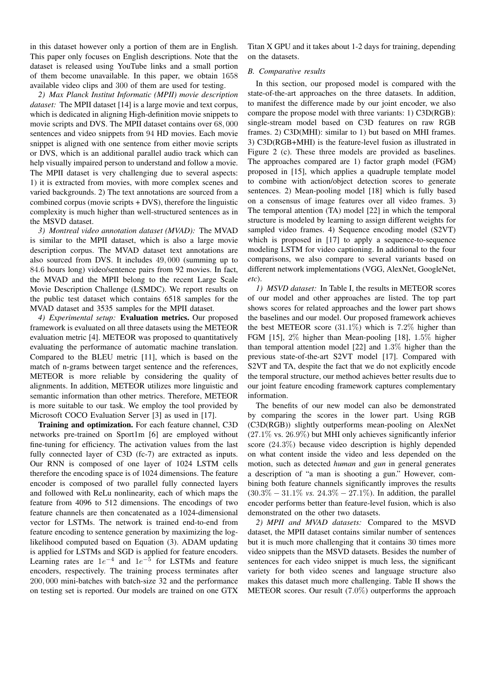in this dataset however only a portion of them are in English. This paper only focuses on English descriptions. Note that the dataset is released using YouTube links and a small portion of them become unavailable. In this paper, we obtain 1658 available video clips and 300 of them are used for testing.

*2) Max Planck Institut Informatic (MPII) movie description dataset:* The MPII dataset [14] is a large movie and text corpus, which is dedicated in aligning High-definition movie snippets to movie scripts and DVS. The MPII dataset contains over 68, 000 sentences and video snippets from 94 HD movies. Each movie snippet is aligned with one sentence from either movie scripts or DVS, which is an additional parallel audio track which can help visually impaired person to understand and follow a movie. The MPII dataset is very challenging due to several aspects: 1) it is extracted from movies, with more complex scenes and varied backgrounds. 2) The text annotations are sourced from a combined corpus (movie scripts + DVS), therefore the linguistic complexity is much higher than well-structured sentences as in the MSVD dataset.

*3) Montreal video annotation dataset (MVAD):* The MVAD is similar to the MPII dataset, which is also a large movie description corpus. The MVAD dataset text annotations are also sourced from DVS. It includes 49, 000 (summing up to 84.6 hours long) video/sentence pairs from 92 movies. In fact, the MVAD and the MPII belong to the recent Large Scale Movie Description Challenge (LSMDC). We report results on the public test dataset which contains 6518 samples for the MVAD dataset and 3535 samples for the MPII dataset.

*4) Experimental setup:* Evaluation metrics. Our proposed framework is evaluated on all three datasets using the METEOR evaluation metric [4]. METEOR was proposed to quantitatively evaluating the performance of automatic machine translation. Compared to the BLEU metric [11], which is based on the match of n-grams between target sentence and the references, METEOR is more reliable by considering the quality of alignments. In addition, METEOR utilizes more linguistic and semantic information than other metrics. Therefore, METEOR is more suitable to our task. We employ the tool provided by Microsoft COCO Evaluation Server [3] as used in [17].

Training and optimization. For each feature channel, C3D networks pre-trained on Sport1m [6] are employed without fine-tuning for efficiency. The activation values from the last fully connected layer of C3D (fc-7) are extracted as inputs. Our RNN is composed of one layer of 1024 LSTM cells therefore the encoding space is of 1024 dimensions. The feature encoder is composed of two parallel fully connected layers and followed with ReLu nonlinearity, each of which maps the feature from 4096 to 512 dimensions. The encodings of two feature channels are then concatenated as a 1024-dimensional vector for LSTMs. The network is trained end-to-end from feature encoding to sentence generation by maximizing the loglikelihood computed based on Equation (3). ADAM updating is applied for LSTMs and SGD is applied for feature encoders. Learning rates are  $1e^{-4}$  and  $1e^{-5}$  for LSTMs and feature encoders, respectively. The training process terminates after 200, 000 mini-batches with batch-size 32 and the performance on testing set is reported. Our models are trained on one GTX

Titan X GPU and it takes about 1-2 days for training, depending on the datasets.

# *B. Comparative results*

In this section, our proposed model is compared with the state-of-the-art approaches on the three datasets. In addition, to manifest the difference made by our joint encoder, we also compare the propose model with three variants: 1) C3D(RGB): single-stream model based on C3D features on raw RGB frames. 2) C3D(MHI): similar to 1) but based on MHI frames. 3) C3D(RGB+MHI) is the feature-level fusion as illustrated in Figure 2 (c). These three models are provided as baselines. The approaches compared are 1) factor graph model (FGM) proposed in [15], which applies a quadruple template model to combine with action/object detection scores to generate sentences. 2) Mean-pooling model [18] which is fully based on a consensus of image features over all video frames. 3) The temporal attention (TA) model [22] in which the temporal structure is modeled by learning to assign different weights for sampled video frames. 4) Sequence encoding model (S2VT) which is proposed in [17] to apply a sequence-to-sequence modeling LSTM for video captioning. In additional to the four comparisons, we also compare to several variants based on different network implementations (VGG, AlexNet, GoogleNet, *etc*).

*1) MSVD dataset:* In Table I, the results in METEOR scores of our model and other approaches are listed. The top part shows scores for related approaches and the lower part shows the baselines and our model. Our proposed framework achieves the best METEOR score  $(31.1\%)$  which is 7.2% higher than FGM [15], 2% higher than Mean-pooling [18], 1.5% higher than temporal attention model [22] and 1.3% higher than the previous state-of-the-art S2VT model [17]. Compared with S2VT and TA, despite the fact that we do not explicitly encode the temporal structure, our method achieves better results due to our joint feature encoding framework captures complementary information.

The benefits of our new model can also be demonstrated by comparing the scores in the lower part. Using RGB (C3D(RGB)) slightly outperforms mean-pooling on AlexNet  $(27.1\% \text{ vs. } 26.9\%)$  but MHI only achieves significantly inferior score (24.3%) because video description is highly depended on what content inside the video and less depended on the motion, such as detected *human* and *gun* in general generates a description of "a man is shooting a gun." However, combining both feature channels significantly improves the results (30.3% − 31.1% *vs.* 24.3% − 27.1%). In addition, the parallel encoder performs better than feature-level fusion, which is also demonstrated on the other two datasets.

*2) MPII and MVAD datasets:* Compared to the MSVD dataset, the MPII dataset contains similar number of sentences but it is much more challenging that it contains 30 times more video snippets than the MSVD datasets. Besides the number of sentences for each video snippet is much less, the significant variety for both video scenes and language structure also makes this dataset much more challenging. Table II shows the METEOR scores. Our result (7.0%) outperforms the approach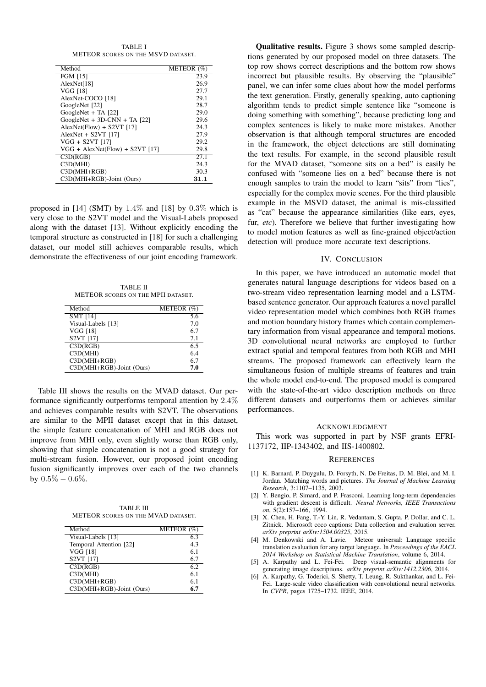TABLE I METEOR SCORES ON THE MSVD DATASET.

| Method                            | METEOR (%) |
|-----------------------------------|------------|
| FGM [15]                          | 23.9       |
| AlexNet[18]                       | 26.9       |
| VGG [18]                          | 27.7       |
| AlexNet-COCO [18]                 | 29.1       |
| GoogleNet [22]                    | 28.7       |
| GoogleNet + TA $[22]$             | 29.0       |
| GoogleNet + $3D-CNN + TA$ [22]    | 29.6       |
| $AlexNet(Flow) + S2VT [17]$       | 24.3       |
| $AlexNet + S2VT [17]$             | 27.9       |
| VGG + S2VT [17]                   | 29.2       |
| $VGG + AlexNet(Flow) + S2VT [17]$ | 29.8       |
| C3D(RGB)                          | 27.1       |
| C3D(MHI)                          | 24.3       |
| C3D(MHI+RGB)                      | 30.3       |
| C3D(MHI+RGB)-Joint (Ours)         | 31.1       |

proposed in [14] (SMT) by  $1.4\%$  and [18] by  $0.3\%$  which is very close to the S2VT model and the Visual-Labels proposed along with the dataset [13]. Without explicitly encoding the temporal structure as constructed in [18] for such a challenging dataset, our model still achieves comparable results, which demonstrate the effectiveness of our joint encoding framework.

TABLE II METEOR SCORES ON THE MPII DATASET.

| Method                    | METEOR $(\% )$ |
|---------------------------|----------------|
| <b>SMT</b> [14]           | 5.6            |
| Visual-Labels [13]        | 7.0            |
| <b>VGG [18]</b>           | 67             |
| S2VT [17]                 | 7.1            |
| C3D(RGB)                  | 6.5            |
| C3D(MHI)                  | 64             |
| C3D(MHI+RGB)              | 6.7            |
| C3D(MHI+RGB)-Joint (Ours) | 7.0            |

Table III shows the results on the MVAD dataset. Our performance significantly outperforms temporal attention by 2.4% and achieves comparable results with S2VT. The observations are similar to the MPII dataset except that in this dataset, the simple feature concatenation of MHI and RGB does not improve from MHI only, even slightly worse than RGB only, showing that simple concatenation is not a good strategy for multi-stream fusion. However, our proposed joint encoding fusion significantly improves over each of the two channels by  $0.5\% - 0.6\%$ .

TABLE III METEOR SCORES ON THE MVAD DATASET.

| Method                    | METEOR $(\% )$ |
|---------------------------|----------------|
| Visual-Labels [13]        | 6.3            |
| Temporal Attention [22]   | 43             |
| <b>VGG [18]</b>           | 6.1            |
| S2VT [17]                 | 67             |
| C3D(RGB)                  | 62             |
| C3D(MHI)                  | 6.1            |
| C3D(MHI+RGB)              | 6.1            |
| C3D(MHI+RGB)-Joint (Ours) | 6.7            |

Qualitative results. Figure 3 shows some sampled descriptions generated by our proposed model on three datasets. The top row shows correct descriptions and the bottom row shows incorrect but plausible results. By observing the "plausible" panel, we can infer some clues about how the model performs the text generation. Firstly, generally speaking, auto captioning algorithm tends to predict simple sentence like "someone is doing something with something", because predicting long and complex sentences is likely to make more mistakes. Another observation is that although temporal structures are encoded in the framework, the object detections are still dominating the text results. For example, in the second plausible result for the MVAD dataset, "someone sits on a bed" is easily be confused with "someone lies on a bed" because there is not enough samples to train the model to learn "sits" from "lies", especially for the complex movie scenes. For the third plausible example in the MSVD dataset, the animal is mis-classified as "cat" because the appearance similarities (like ears, eyes, fur, *etc*). Therefore we believe that further investigating how to model motion features as well as fine-grained object/action detection will produce more accurate text descriptions.

# IV. CONCLUSION

In this paper, we have introduced an automatic model that generates natural language descriptions for videos based on a two-stream video representation learning model and a LSTMbased sentence generator. Our approach features a novel parallel video representation model which combines both RGB frames and motion boundary history frames which contain complementary information from visual appearance and temporal motions. 3D convolutional neural networks are employed to further extract spatial and temporal features from both RGB and MHI streams. The proposed framework can effectively learn the simultaneous fusion of multiple streams of features and train the whole model end-to-end. The proposed model is compared with the state-of-the-art video description methods on three different datasets and outperforms them or achieves similar performances.

#### ACKNOWLEDGMENT

This work was supported in part by NSF grants EFRI-1137172, IIP-1343402, and IIS-1400802.

#### **REFERENCES**

- [1] K. Barnard, P. Duygulu, D. Forsyth, N. De Freitas, D. M. Blei, and M. I. Jordan. Matching words and pictures. *The Journal of Machine Learning Research*, 3:1107–1135, 2003.
- [2] Y. Bengio, P. Simard, and P. Frasconi. Learning long-term dependencies with gradient descent is difficult. *Neural Networks, IEEE Transactions on*, 5(2):157–166, 1994.
- [3] X. Chen, H. Fang, T.-Y. Lin, R. Vedantam, S. Gupta, P. Dollar, and C. L. Zitnick. Microsoft coco captions: Data collection and evaluation server. *arXiv preprint arXiv:1504.00325*, 2015.
- [4] M. Denkowski and A. Lavie. Meteor universal: Language specific translation evaluation for any target language. In *Proceedings of the EACL 2014 Workshop on Statistical Machine Translation*, volume 6, 2014.
- [5] A. Karpathy and L. Fei-Fei. Deep visual-semantic alignments for generating image descriptions. *arXiv preprint arXiv:1412.2306*, 2014.
- [6] A. Karpathy, G. Toderici, S. Shetty, T. Leung, R. Sukthankar, and L. Fei-Fei. Large-scale video classification with convolutional neural networks. In *CVPR*, pages 1725–1732. IEEE, 2014.